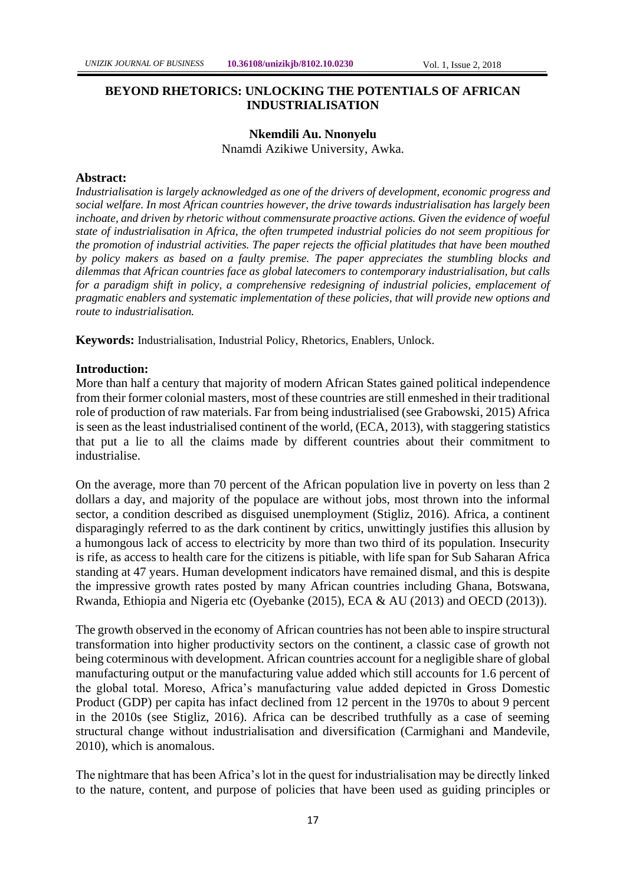# **BEYOND RHETORICS: UNLOCKING THE POTENTIALS OF AFRICAN INDUSTRIALISATION**

# **Nkemdili Au. Nnonyelu** Nnamdi Azikiwe University, Awka.

# **Abstract:**

*Industrialisation is largely acknowledged as one of the drivers of development, economic progress and social welfare. In most African countries however, the drive towards industrialisation has largely been inchoate, and driven by rhetoric without commensurate proactive actions. Given the evidence of woeful state of industrialisation in Africa, the often trumpeted industrial policies do not seem propitious for the promotion of industrial activities. The paper rejects the official platitudes that have been mouthed by policy makers as based on a faulty premise. The paper appreciates the stumbling blocks and dilemmas that African countries face as global latecomers to contemporary industrialisation, but calls for a paradigm shift in policy, a comprehensive redesigning of industrial policies, emplacement of pragmatic enablers and systematic implementation of these policies, that will provide new options and route to industrialisation.*

**Keywords:** Industrialisation, Industrial Policy, Rhetorics, Enablers, Unlock.

#### **Introduction:**

More than half a century that majority of modern African States gained political independence from their former colonial masters, most of these countries are still enmeshed in their traditional role of production of raw materials. Far from being industrialised (see Grabowski, 2015) Africa is seen as the least industrialised continent of the world, (ECA, 2013), with staggering statistics that put a lie to all the claims made by different countries about their commitment to industrialise.

On the average, more than 70 percent of the African population live in poverty on less than 2 dollars a day, and majority of the populace are without jobs, most thrown into the informal sector, a condition described as disguised unemployment (Stigliz, 2016). Africa, a continent disparagingly referred to as the dark continent by critics, unwittingly justifies this allusion by a humongous lack of access to electricity by more than two third of its population. Insecurity is rife, as access to health care for the citizens is pitiable, with life span for Sub Saharan Africa standing at 47 years. Human development indicators have remained dismal, and this is despite the impressive growth rates posted by many African countries including Ghana, Botswana, Rwanda, Ethiopia and Nigeria etc (Oyebanke (2015), ECA & AU (2013) and OECD (2013)).

The growth observed in the economy of African countries has not been able to inspire structural transformation into higher productivity sectors on the continent, a classic case of growth not being coterminous with development. African countries account for a negligible share of global manufacturing output or the manufacturing value added which still accounts for 1.6 percent of the global total. Moreso, Africa's manufacturing value added depicted in Gross Domestic Product (GDP) per capita has infact declined from 12 percent in the 1970s to about 9 percent in the 2010s (see Stigliz, 2016). Africa can be described truthfully as a case of seeming structural change without industrialisation and diversification (Carmighani and Mandevile, 2010), which is anomalous.

The nightmare that has been Africa's lot in the quest for industrialisation may be directly linked to the nature, content, and purpose of policies that have been used as guiding principles or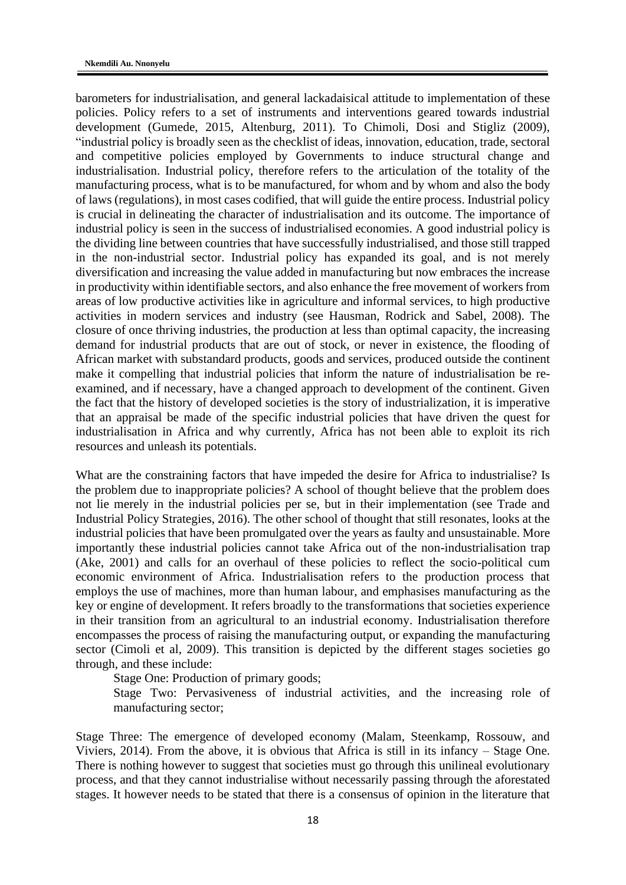barometers for industrialisation, and general lackadaisical attitude to implementation of these policies. Policy refers to a set of instruments and interventions geared towards industrial development (Gumede, 2015, Altenburg, 2011). To Chimoli, Dosi and Stigliz (2009), "industrial policy is broadly seen as the checklist of ideas, innovation, education, trade, sectoral and competitive policies employed by Governments to induce structural change and industrialisation. Industrial policy, therefore refers to the articulation of the totality of the manufacturing process, what is to be manufactured, for whom and by whom and also the body of laws (regulations), in most cases codified, that will guide the entire process. Industrial policy is crucial in delineating the character of industrialisation and its outcome. The importance of industrial policy is seen in the success of industrialised economies. A good industrial policy is the dividing line between countries that have successfully industrialised, and those still trapped in the non-industrial sector. Industrial policy has expanded its goal, and is not merely diversification and increasing the value added in manufacturing but now embraces the increase in productivity within identifiable sectors, and also enhance the free movement of workers from areas of low productive activities like in agriculture and informal services, to high productive activities in modern services and industry (see Hausman, Rodrick and Sabel, 2008). The closure of once thriving industries, the production at less than optimal capacity, the increasing demand for industrial products that are out of stock, or never in existence, the flooding of African market with substandard products, goods and services, produced outside the continent make it compelling that industrial policies that inform the nature of industrialisation be reexamined, and if necessary, have a changed approach to development of the continent. Given the fact that the history of developed societies is the story of industrialization, it is imperative that an appraisal be made of the specific industrial policies that have driven the quest for industrialisation in Africa and why currently, Africa has not been able to exploit its rich resources and unleash its potentials.

What are the constraining factors that have impeded the desire for Africa to industrialise? Is the problem due to inappropriate policies? A school of thought believe that the problem does not lie merely in the industrial policies per se, but in their implementation (see Trade and Industrial Policy Strategies, 2016). The other school of thought that still resonates, looks at the industrial policies that have been promulgated over the years as faulty and unsustainable. More importantly these industrial policies cannot take Africa out of the non-industrialisation trap (Ake, 2001) and calls for an overhaul of these policies to reflect the socio-political cum economic environment of Africa. Industrialisation refers to the production process that employs the use of machines, more than human labour, and emphasises manufacturing as the key or engine of development. It refers broadly to the transformations that societies experience in their transition from an agricultural to an industrial economy. Industrialisation therefore encompasses the process of raising the manufacturing output, or expanding the manufacturing sector (Cimoli et al, 2009). This transition is depicted by the different stages societies go through, and these include:

Stage One: Production of primary goods;

Stage Two: Pervasiveness of industrial activities, and the increasing role of manufacturing sector;

Stage Three: The emergence of developed economy (Malam, Steenkamp, Rossouw, and Viviers, 2014). From the above, it is obvious that Africa is still in its infancy – Stage One. There is nothing however to suggest that societies must go through this unilineal evolutionary process, and that they cannot industrialise without necessarily passing through the aforestated stages. It however needs to be stated that there is a consensus of opinion in the literature that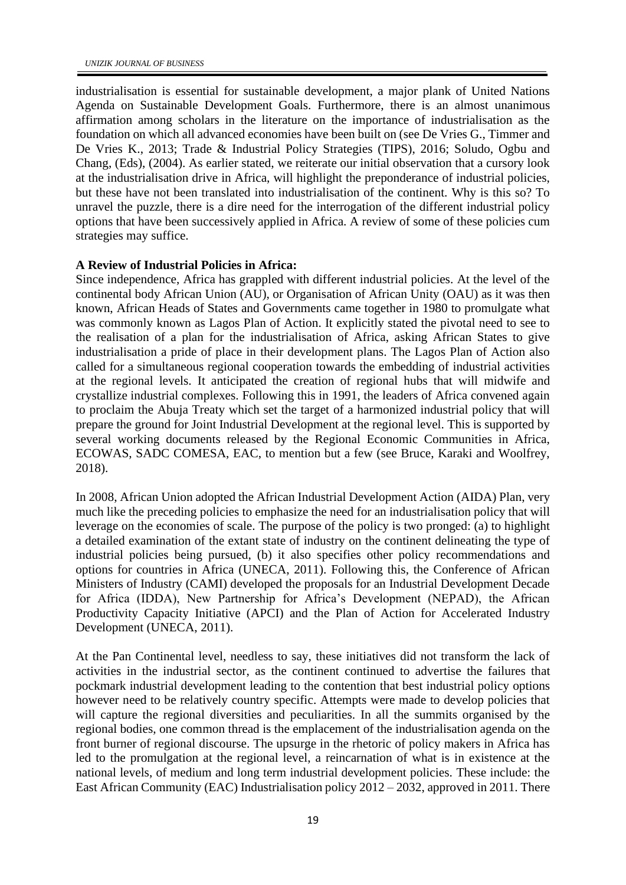industrialisation is essential for sustainable development, a major plank of United Nations Agenda on Sustainable Development Goals. Furthermore, there is an almost unanimous affirmation among scholars in the literature on the importance of industrialisation as the foundation on which all advanced economies have been built on (see De Vries G., Timmer and De Vries K., 2013; Trade & Industrial Policy Strategies (TIPS), 2016; Soludo, Ogbu and Chang, (Eds), (2004). As earlier stated, we reiterate our initial observation that a cursory look at the industrialisation drive in Africa, will highlight the preponderance of industrial policies, but these have not been translated into industrialisation of the continent. Why is this so? To unravel the puzzle, there is a dire need for the interrogation of the different industrial policy options that have been successively applied in Africa. A review of some of these policies cum strategies may suffice.

## **A Review of Industrial Policies in Africa:**

Since independence, Africa has grappled with different industrial policies. At the level of the continental body African Union (AU), or Organisation of African Unity (OAU) as it was then known, African Heads of States and Governments came together in 1980 to promulgate what was commonly known as Lagos Plan of Action. It explicitly stated the pivotal need to see to the realisation of a plan for the industrialisation of Africa, asking African States to give industrialisation a pride of place in their development plans. The Lagos Plan of Action also called for a simultaneous regional cooperation towards the embedding of industrial activities at the regional levels. It anticipated the creation of regional hubs that will midwife and crystallize industrial complexes. Following this in 1991, the leaders of Africa convened again to proclaim the Abuja Treaty which set the target of a harmonized industrial policy that will prepare the ground for Joint Industrial Development at the regional level. This is supported by several working documents released by the Regional Economic Communities in Africa, ECOWAS, SADC COMESA, EAC, to mention but a few (see Bruce, Karaki and Woolfrey, 2018).

In 2008, African Union adopted the African Industrial Development Action (AIDA) Plan, very much like the preceding policies to emphasize the need for an industrialisation policy that will leverage on the economies of scale. The purpose of the policy is two pronged: (a) to highlight a detailed examination of the extant state of industry on the continent delineating the type of industrial policies being pursued, (b) it also specifies other policy recommendations and options for countries in Africa (UNECA, 2011). Following this, the Conference of African Ministers of Industry (CAMI) developed the proposals for an Industrial Development Decade for Africa (IDDA), New Partnership for Africa's Development (NEPAD), the African Productivity Capacity Initiative (APCI) and the Plan of Action for Accelerated Industry Development (UNECA, 2011).

At the Pan Continental level, needless to say, these initiatives did not transform the lack of activities in the industrial sector, as the continent continued to advertise the failures that pockmark industrial development leading to the contention that best industrial policy options however need to be relatively country specific. Attempts were made to develop policies that will capture the regional diversities and peculiarities. In all the summits organised by the regional bodies, one common thread is the emplacement of the industrialisation agenda on the front burner of regional discourse. The upsurge in the rhetoric of policy makers in Africa has led to the promulgation at the regional level, a reincarnation of what is in existence at the national levels, of medium and long term industrial development policies. These include: the East African Community (EAC) Industrialisation policy 2012 – 2032, approved in 2011. There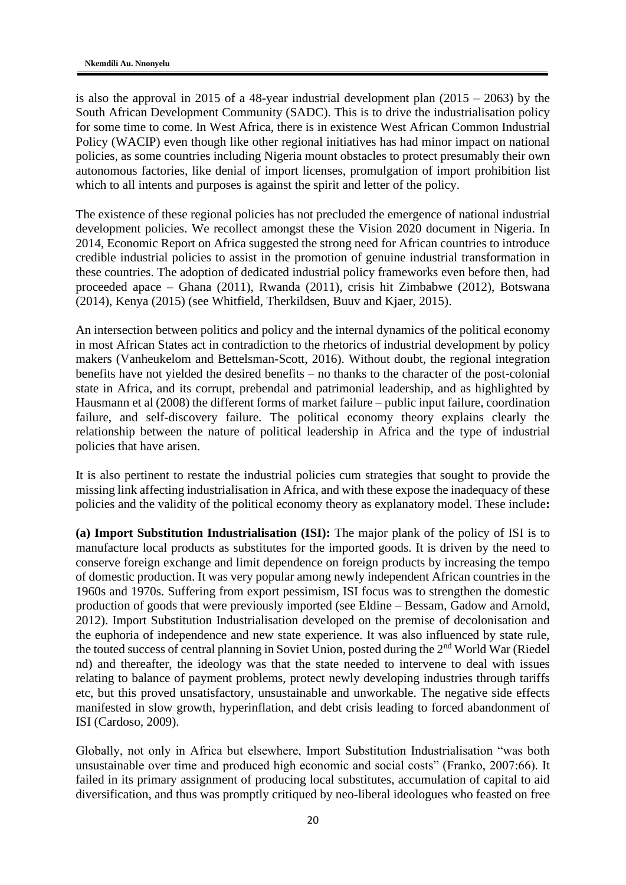is also the approval in 2015 of a 48-year industrial development plan  $(2015 - 2063)$  by the South African Development Community (SADC). This is to drive the industrialisation policy for some time to come. In West Africa, there is in existence West African Common Industrial Policy (WACIP) even though like other regional initiatives has had minor impact on national policies, as some countries including Nigeria mount obstacles to protect presumably their own autonomous factories, like denial of import licenses, promulgation of import prohibition list which to all intents and purposes is against the spirit and letter of the policy.

The existence of these regional policies has not precluded the emergence of national industrial development policies. We recollect amongst these the Vision 2020 document in Nigeria. In 2014, Economic Report on Africa suggested the strong need for African countries to introduce credible industrial policies to assist in the promotion of genuine industrial transformation in these countries. The adoption of dedicated industrial policy frameworks even before then, had proceeded apace – Ghana (2011), Rwanda (2011), crisis hit Zimbabwe (2012), Botswana (2014), Kenya (2015) (see Whitfield, Therkildsen, Buuv and Kjaer, 2015).

An intersection between politics and policy and the internal dynamics of the political economy in most African States act in contradiction to the rhetorics of industrial development by policy makers (Vanheukelom and Bettelsman-Scott, 2016). Without doubt, the regional integration benefits have not yielded the desired benefits – no thanks to the character of the post-colonial state in Africa, and its corrupt, prebendal and patrimonial leadership, and as highlighted by Hausmann et al (2008) the different forms of market failure – public input failure, coordination failure, and self-discovery failure. The political economy theory explains clearly the relationship between the nature of political leadership in Africa and the type of industrial policies that have arisen.

It is also pertinent to restate the industrial policies cum strategies that sought to provide the missing link affecting industrialisation in Africa, and with these expose the inadequacy of these policies and the validity of the political economy theory as explanatory model. These include**:** 

**(a) Import Substitution Industrialisation (ISI):** The major plank of the policy of ISI is to manufacture local products as substitutes for the imported goods. It is driven by the need to conserve foreign exchange and limit dependence on foreign products by increasing the tempo of domestic production. It was very popular among newly independent African countries in the 1960s and 1970s. Suffering from export pessimism, ISI focus was to strengthen the domestic production of goods that were previously imported (see Eldine – Bessam, Gadow and Arnold, 2012). Import Substitution Industrialisation developed on the premise of decolonisation and the euphoria of independence and new state experience. It was also influenced by state rule, the touted success of central planning in Soviet Union, posted during the 2<sup>nd</sup> World War (Riedel nd) and thereafter, the ideology was that the state needed to intervene to deal with issues relating to balance of payment problems, protect newly developing industries through tariffs etc, but this proved unsatisfactory, unsustainable and unworkable. The negative side effects manifested in slow growth, hyperinflation, and debt crisis leading to forced abandonment of ISI (Cardoso, 2009).

Globally, not only in Africa but elsewhere, Import Substitution Industrialisation "was both unsustainable over time and produced high economic and social costs" (Franko, 2007:66). It failed in its primary assignment of producing local substitutes, accumulation of capital to aid diversification, and thus was promptly critiqued by neo-liberal ideologues who feasted on free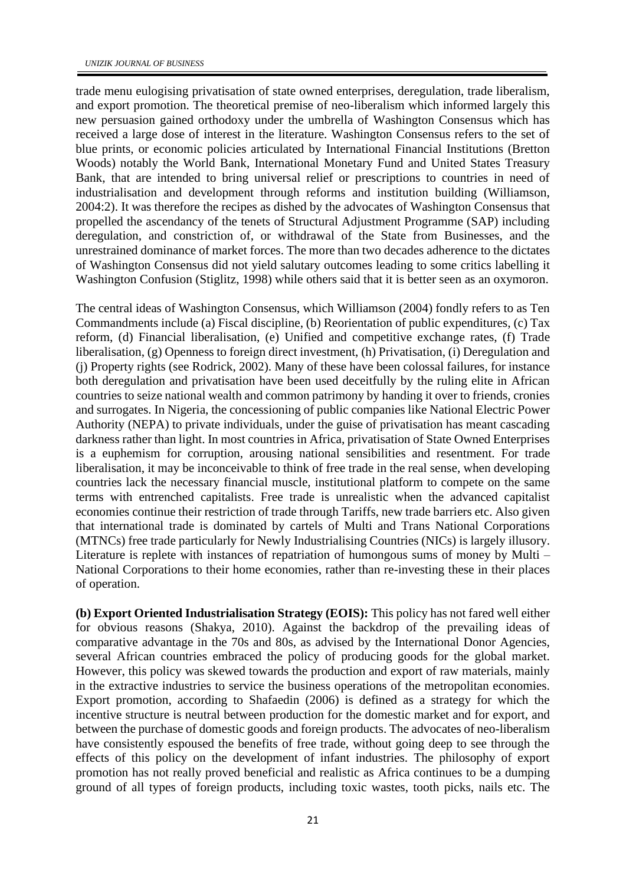trade menu eulogising privatisation of state owned enterprises, deregulation, trade liberalism, and export promotion. The theoretical premise of neo-liberalism which informed largely this new persuasion gained orthodoxy under the umbrella of Washington Consensus which has received a large dose of interest in the literature. Washington Consensus refers to the set of blue prints, or economic policies articulated by International Financial Institutions (Bretton Woods) notably the World Bank, International Monetary Fund and United States Treasury Bank, that are intended to bring universal relief or prescriptions to countries in need of industrialisation and development through reforms and institution building (Williamson, 2004:2). It was therefore the recipes as dished by the advocates of Washington Consensus that propelled the ascendancy of the tenets of Structural Adjustment Programme (SAP) including deregulation, and constriction of, or withdrawal of the State from Businesses, and the unrestrained dominance of market forces. The more than two decades adherence to the dictates of Washington Consensus did not yield salutary outcomes leading to some critics labelling it Washington Confusion (Stiglitz, 1998) while others said that it is better seen as an oxymoron.

The central ideas of Washington Consensus, which Williamson (2004) fondly refers to as Ten Commandments include (a) Fiscal discipline, (b) Reorientation of public expenditures, (c) Tax reform, (d) Financial liberalisation, (e) Unified and competitive exchange rates, (f) Trade liberalisation, (g) Openness to foreign direct investment, (h) Privatisation, (i) Deregulation and (j) Property rights (see Rodrick, 2002). Many of these have been colossal failures, for instance both deregulation and privatisation have been used deceitfully by the ruling elite in African countries to seize national wealth and common patrimony by handing it over to friends, cronies and surrogates. In Nigeria, the concessioning of public companies like National Electric Power Authority (NEPA) to private individuals, under the guise of privatisation has meant cascading darkness rather than light. In most countries in Africa, privatisation of State Owned Enterprises is a euphemism for corruption, arousing national sensibilities and resentment. For trade liberalisation, it may be inconceivable to think of free trade in the real sense, when developing countries lack the necessary financial muscle, institutional platform to compete on the same terms with entrenched capitalists. Free trade is unrealistic when the advanced capitalist economies continue their restriction of trade through Tariffs, new trade barriers etc. Also given that international trade is dominated by cartels of Multi and Trans National Corporations (MTNCs) free trade particularly for Newly Industrialising Countries (NICs) is largely illusory. Literature is replete with instances of repatriation of humongous sums of money by Multi – National Corporations to their home economies, rather than re-investing these in their places of operation.

**(b) Export Oriented Industrialisation Strategy (EOIS):** This policy has not fared well either for obvious reasons (Shakya, 2010). Against the backdrop of the prevailing ideas of comparative advantage in the 70s and 80s, as advised by the International Donor Agencies, several African countries embraced the policy of producing goods for the global market. However, this policy was skewed towards the production and export of raw materials, mainly in the extractive industries to service the business operations of the metropolitan economies. Export promotion, according to Shafaedin (2006) is defined as a strategy for which the incentive structure is neutral between production for the domestic market and for export, and between the purchase of domestic goods and foreign products. The advocates of neo-liberalism have consistently espoused the benefits of free trade, without going deep to see through the effects of this policy on the development of infant industries. The philosophy of export promotion has not really proved beneficial and realistic as Africa continues to be a dumping ground of all types of foreign products, including toxic wastes, tooth picks, nails etc. The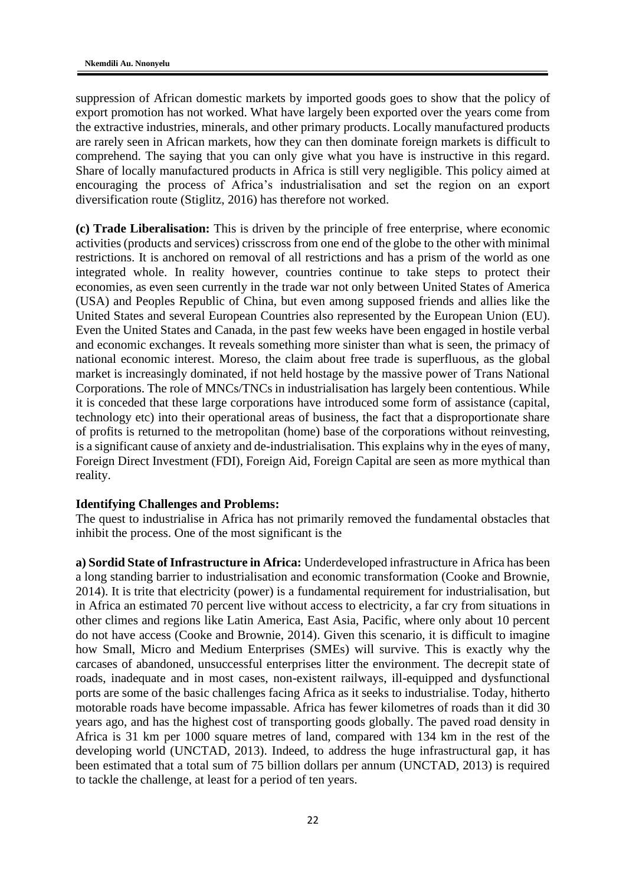suppression of African domestic markets by imported goods goes to show that the policy of export promotion has not worked. What have largely been exported over the years come from the extractive industries, minerals, and other primary products. Locally manufactured products are rarely seen in African markets, how they can then dominate foreign markets is difficult to comprehend. The saying that you can only give what you have is instructive in this regard. Share of locally manufactured products in Africa is still very negligible. This policy aimed at encouraging the process of Africa's industrialisation and set the region on an export diversification route (Stiglitz, 2016) has therefore not worked.

**(c) Trade Liberalisation:** This is driven by the principle of free enterprise, where economic activities (products and services) crisscross from one end of the globe to the other with minimal restrictions. It is anchored on removal of all restrictions and has a prism of the world as one integrated whole. In reality however, countries continue to take steps to protect their economies, as even seen currently in the trade war not only between United States of America (USA) and Peoples Republic of China, but even among supposed friends and allies like the United States and several European Countries also represented by the European Union (EU). Even the United States and Canada, in the past few weeks have been engaged in hostile verbal and economic exchanges. It reveals something more sinister than what is seen, the primacy of national economic interest. Moreso, the claim about free trade is superfluous, as the global market is increasingly dominated, if not held hostage by the massive power of Trans National Corporations. The role of MNCs/TNCs in industrialisation has largely been contentious. While it is conceded that these large corporations have introduced some form of assistance (capital, technology etc) into their operational areas of business, the fact that a disproportionate share of profits is returned to the metropolitan (home) base of the corporations without reinvesting, is a significant cause of anxiety and de-industrialisation. This explains why in the eyes of many, Foreign Direct Investment (FDI), Foreign Aid, Foreign Capital are seen as more mythical than reality.

# **Identifying Challenges and Problems:**

The quest to industrialise in Africa has not primarily removed the fundamental obstacles that inhibit the process. One of the most significant is the

**a) Sordid State of Infrastructure in Africa:** Underdeveloped infrastructure in Africa has been a long standing barrier to industrialisation and economic transformation (Cooke and Brownie, 2014). It is trite that electricity (power) is a fundamental requirement for industrialisation, but in Africa an estimated 70 percent live without access to electricity, a far cry from situations in other climes and regions like Latin America, East Asia, Pacific, where only about 10 percent do not have access (Cooke and Brownie, 2014). Given this scenario, it is difficult to imagine how Small, Micro and Medium Enterprises (SMEs) will survive. This is exactly why the carcases of abandoned, unsuccessful enterprises litter the environment. The decrepit state of roads, inadequate and in most cases, non-existent railways, ill-equipped and dysfunctional ports are some of the basic challenges facing Africa as it seeks to industrialise. Today, hitherto motorable roads have become impassable. Africa has fewer kilometres of roads than it did 30 years ago, and has the highest cost of transporting goods globally. The paved road density in Africa is 31 km per 1000 square metres of land, compared with 134 km in the rest of the developing world (UNCTAD, 2013). Indeed, to address the huge infrastructural gap, it has been estimated that a total sum of 75 billion dollars per annum (UNCTAD, 2013) is required to tackle the challenge, at least for a period of ten years.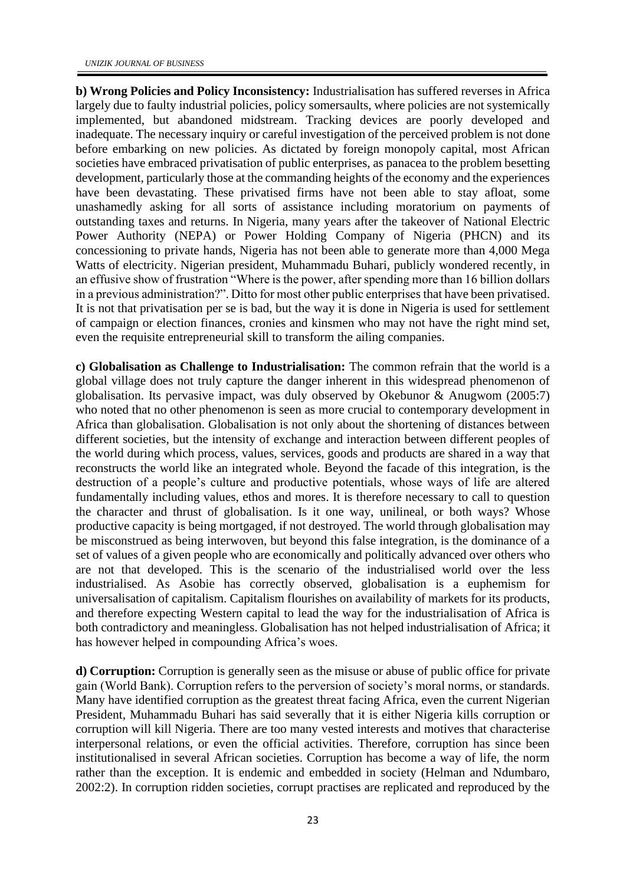**b) Wrong Policies and Policy Inconsistency:** Industrialisation has suffered reverses in Africa largely due to faulty industrial policies, policy somersaults, where policies are not systemically implemented, but abandoned midstream. Tracking devices are poorly developed and inadequate. The necessary inquiry or careful investigation of the perceived problem is not done before embarking on new policies. As dictated by foreign monopoly capital, most African societies have embraced privatisation of public enterprises, as panacea to the problem besetting development, particularly those at the commanding heights of the economy and the experiences have been devastating. These privatised firms have not been able to stay afloat, some unashamedly asking for all sorts of assistance including moratorium on payments of outstanding taxes and returns. In Nigeria, many years after the takeover of National Electric Power Authority (NEPA) or Power Holding Company of Nigeria (PHCN) and its concessioning to private hands, Nigeria has not been able to generate more than 4,000 Mega Watts of electricity. Nigerian president, Muhammadu Buhari, publicly wondered recently, in an effusive show of frustration "Where is the power, after spending more than 16 billion dollars in a previous administration?". Ditto for most other public enterprises that have been privatised. It is not that privatisation per se is bad, but the way it is done in Nigeria is used for settlement of campaign or election finances, cronies and kinsmen who may not have the right mind set, even the requisite entrepreneurial skill to transform the ailing companies.

**c) Globalisation as Challenge to Industrialisation:** The common refrain that the world is a global village does not truly capture the danger inherent in this widespread phenomenon of globalisation. Its pervasive impact, was duly observed by Okebunor & Anugwom (2005:7) who noted that no other phenomenon is seen as more crucial to contemporary development in Africa than globalisation. Globalisation is not only about the shortening of distances between different societies, but the intensity of exchange and interaction between different peoples of the world during which process, values, services, goods and products are shared in a way that reconstructs the world like an integrated whole. Beyond the facade of this integration, is the destruction of a people's culture and productive potentials, whose ways of life are altered fundamentally including values, ethos and mores. It is therefore necessary to call to question the character and thrust of globalisation. Is it one way, unilineal, or both ways? Whose productive capacity is being mortgaged, if not destroyed. The world through globalisation may be misconstrued as being interwoven, but beyond this false integration, is the dominance of a set of values of a given people who are economically and politically advanced over others who are not that developed. This is the scenario of the industrialised world over the less industrialised. As Asobie has correctly observed, globalisation is a euphemism for universalisation of capitalism. Capitalism flourishes on availability of markets for its products, and therefore expecting Western capital to lead the way for the industrialisation of Africa is both contradictory and meaningless. Globalisation has not helped industrialisation of Africa; it has however helped in compounding Africa's woes.

**d) Corruption:** Corruption is generally seen as the misuse or abuse of public office for private gain (World Bank). Corruption refers to the perversion of society's moral norms, or standards. Many have identified corruption as the greatest threat facing Africa, even the current Nigerian President, Muhammadu Buhari has said severally that it is either Nigeria kills corruption or corruption will kill Nigeria. There are too many vested interests and motives that characterise interpersonal relations, or even the official activities. Therefore, corruption has since been institutionalised in several African societies. Corruption has become a way of life, the norm rather than the exception. It is endemic and embedded in society (Helman and Ndumbaro, 2002:2). In corruption ridden societies, corrupt practises are replicated and reproduced by the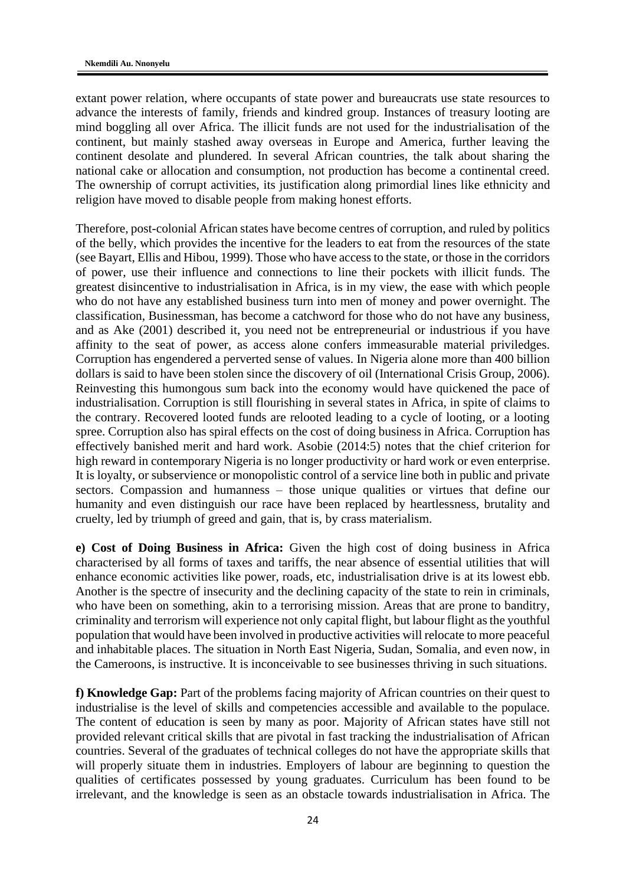extant power relation, where occupants of state power and bureaucrats use state resources to advance the interests of family, friends and kindred group. Instances of treasury looting are mind boggling all over Africa. The illicit funds are not used for the industrialisation of the continent, but mainly stashed away overseas in Europe and America, further leaving the continent desolate and plundered. In several African countries, the talk about sharing the national cake or allocation and consumption, not production has become a continental creed. The ownership of corrupt activities, its justification along primordial lines like ethnicity and religion have moved to disable people from making honest efforts.

Therefore, post-colonial African states have become centres of corruption, and ruled by politics of the belly, which provides the incentive for the leaders to eat from the resources of the state (see Bayart, Ellis and Hibou, 1999). Those who have access to the state, or those in the corridors of power, use their influence and connections to line their pockets with illicit funds. The greatest disincentive to industrialisation in Africa, is in my view, the ease with which people who do not have any established business turn into men of money and power overnight. The classification, Businessman, has become a catchword for those who do not have any business, and as Ake (2001) described it, you need not be entrepreneurial or industrious if you have affinity to the seat of power, as access alone confers immeasurable material priviledges. Corruption has engendered a perverted sense of values. In Nigeria alone more than 400 billion dollars is said to have been stolen since the discovery of oil (International Crisis Group, 2006). Reinvesting this humongous sum back into the economy would have quickened the pace of industrialisation. Corruption is still flourishing in several states in Africa, in spite of claims to the contrary. Recovered looted funds are relooted leading to a cycle of looting, or a looting spree. Corruption also has spiral effects on the cost of doing business in Africa. Corruption has effectively banished merit and hard work. Asobie (2014:5) notes that the chief criterion for high reward in contemporary Nigeria is no longer productivity or hard work or even enterprise. It is loyalty, or subservience or monopolistic control of a service line both in public and private sectors. Compassion and humanness – those unique qualities or virtues that define our humanity and even distinguish our race have been replaced by heartlessness, brutality and cruelty, led by triumph of greed and gain, that is, by crass materialism.

**e) Cost of Doing Business in Africa:** Given the high cost of doing business in Africa characterised by all forms of taxes and tariffs, the near absence of essential utilities that will enhance economic activities like power, roads, etc, industrialisation drive is at its lowest ebb. Another is the spectre of insecurity and the declining capacity of the state to rein in criminals, who have been on something, akin to a terrorising mission. Areas that are prone to banditry, criminality and terrorism will experience not only capital flight, but labour flight as the youthful population that would have been involved in productive activities will relocate to more peaceful and inhabitable places. The situation in North East Nigeria, Sudan, Somalia, and even now, in the Cameroons, is instructive. It is inconceivable to see businesses thriving in such situations.

**f) Knowledge Gap:** Part of the problems facing majority of African countries on their quest to industrialise is the level of skills and competencies accessible and available to the populace. The content of education is seen by many as poor. Majority of African states have still not provided relevant critical skills that are pivotal in fast tracking the industrialisation of African countries. Several of the graduates of technical colleges do not have the appropriate skills that will properly situate them in industries. Employers of labour are beginning to question the qualities of certificates possessed by young graduates. Curriculum has been found to be irrelevant, and the knowledge is seen as an obstacle towards industrialisation in Africa. The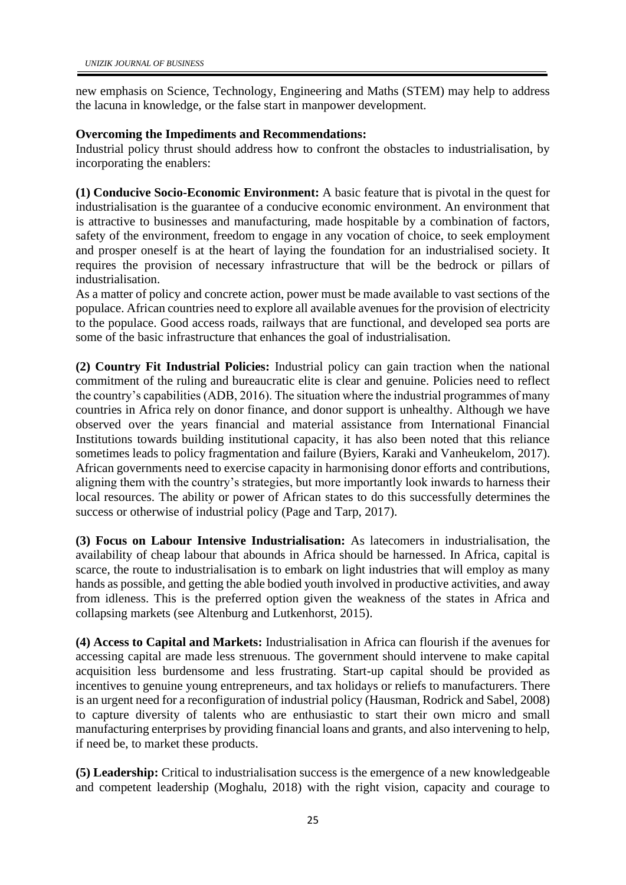new emphasis on Science, Technology, Engineering and Maths (STEM) may help to address the lacuna in knowledge, or the false start in manpower development.

# **Overcoming the Impediments and Recommendations:**

Industrial policy thrust should address how to confront the obstacles to industrialisation, by incorporating the enablers:

**(1) Conducive Socio-Economic Environment:** A basic feature that is pivotal in the quest for industrialisation is the guarantee of a conducive economic environment. An environment that is attractive to businesses and manufacturing, made hospitable by a combination of factors, safety of the environment, freedom to engage in any vocation of choice, to seek employment and prosper oneself is at the heart of laying the foundation for an industrialised society. It requires the provision of necessary infrastructure that will be the bedrock or pillars of industrialisation.

As a matter of policy and concrete action, power must be made available to vast sections of the populace. African countries need to explore all available avenues for the provision of electricity to the populace. Good access roads, railways that are functional, and developed sea ports are some of the basic infrastructure that enhances the goal of industrialisation.

**(2) Country Fit Industrial Policies:** Industrial policy can gain traction when the national commitment of the ruling and bureaucratic elite is clear and genuine. Policies need to reflect the country's capabilities (ADB, 2016). The situation where the industrial programmes of many countries in Africa rely on donor finance, and donor support is unhealthy. Although we have observed over the years financial and material assistance from International Financial Institutions towards building institutional capacity, it has also been noted that this reliance sometimes leads to policy fragmentation and failure (Byiers, Karaki and Vanheukelom, 2017). African governments need to exercise capacity in harmonising donor efforts and contributions, aligning them with the country's strategies, but more importantly look inwards to harness their local resources. The ability or power of African states to do this successfully determines the success or otherwise of industrial policy (Page and Tarp, 2017).

**(3) Focus on Labour Intensive Industrialisation:** As latecomers in industrialisation, the availability of cheap labour that abounds in Africa should be harnessed. In Africa, capital is scarce, the route to industrialisation is to embark on light industries that will employ as many hands as possible, and getting the able bodied youth involved in productive activities, and away from idleness. This is the preferred option given the weakness of the states in Africa and collapsing markets (see Altenburg and Lutkenhorst, 2015).

**(4) Access to Capital and Markets:** Industrialisation in Africa can flourish if the avenues for accessing capital are made less strenuous. The government should intervene to make capital acquisition less burdensome and less frustrating. Start-up capital should be provided as incentives to genuine young entrepreneurs, and tax holidays or reliefs to manufacturers. There is an urgent need for a reconfiguration of industrial policy (Hausman, Rodrick and Sabel, 2008) to capture diversity of talents who are enthusiastic to start their own micro and small manufacturing enterprises by providing financial loans and grants, and also intervening to help, if need be, to market these products.

**(5) Leadership:** Critical to industrialisation success is the emergence of a new knowledgeable and competent leadership (Moghalu, 2018) with the right vision, capacity and courage to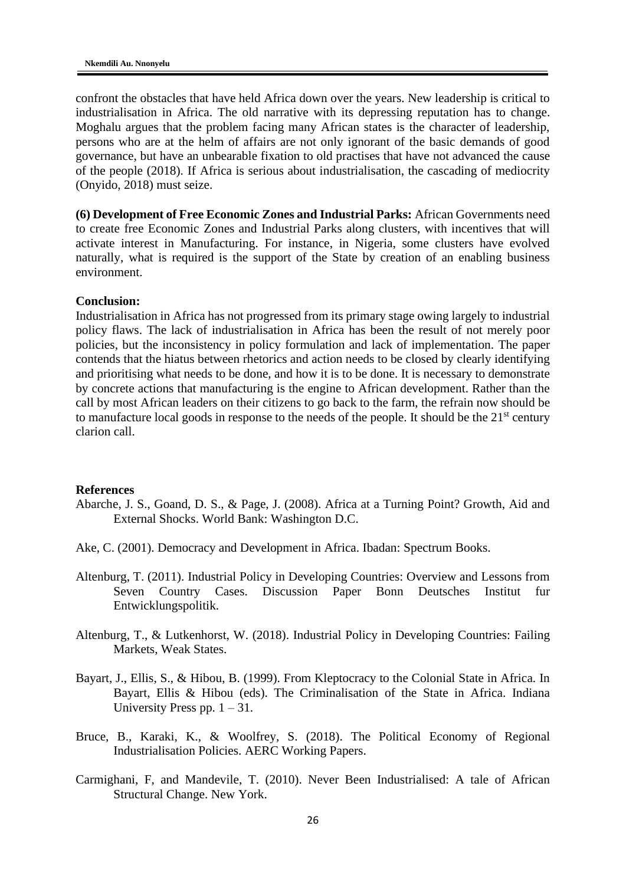confront the obstacles that have held Africa down over the years. New leadership is critical to industrialisation in Africa. The old narrative with its depressing reputation has to change. Moghalu argues that the problem facing many African states is the character of leadership, persons who are at the helm of affairs are not only ignorant of the basic demands of good governance, but have an unbearable fixation to old practises that have not advanced the cause of the people (2018). If Africa is serious about industrialisation, the cascading of mediocrity (Onyido, 2018) must seize.

**(6) Development of Free Economic Zones and Industrial Parks:** African Governments need to create free Economic Zones and Industrial Parks along clusters, with incentives that will activate interest in Manufacturing. For instance, in Nigeria, some clusters have evolved naturally, what is required is the support of the State by creation of an enabling business environment.

## **Conclusion:**

Industrialisation in Africa has not progressed from its primary stage owing largely to industrial policy flaws. The lack of industrialisation in Africa has been the result of not merely poor policies, but the inconsistency in policy formulation and lack of implementation. The paper contends that the hiatus between rhetorics and action needs to be closed by clearly identifying and prioritising what needs to be done, and how it is to be done. It is necessary to demonstrate by concrete actions that manufacturing is the engine to African development. Rather than the call by most African leaders on their citizens to go back to the farm, the refrain now should be to manufacture local goods in response to the needs of the people. It should be the  $21<sup>st</sup>$  century clarion call.

#### **References**

- Abarche, J. S., Goand, D. S., & Page, J. (2008). Africa at a Turning Point? Growth, Aid and External Shocks. World Bank: Washington D.C.
- Ake, C. (2001). Democracy and Development in Africa. Ibadan: Spectrum Books.
- Altenburg, T. (2011). Industrial Policy in Developing Countries: Overview and Lessons from Seven Country Cases. Discussion Paper Bonn Deutsches Institut fur Entwicklungspolitik.
- Altenburg, T., & Lutkenhorst, W. (2018). Industrial Policy in Developing Countries: Failing Markets, Weak States.
- Bayart, J., Ellis, S., & Hibou, B. (1999). From Kleptocracy to the Colonial State in Africa. In Bayart, Ellis & Hibou (eds). The Criminalisation of the State in Africa. Indiana University Press pp.  $1 - 31$ .
- Bruce, B., Karaki, K., & Woolfrey, S. (2018). The Political Economy of Regional Industrialisation Policies. AERC Working Papers.
- Carmighani, F, and Mandevile, T. (2010). Never Been Industrialised: A tale of African Structural Change. New York.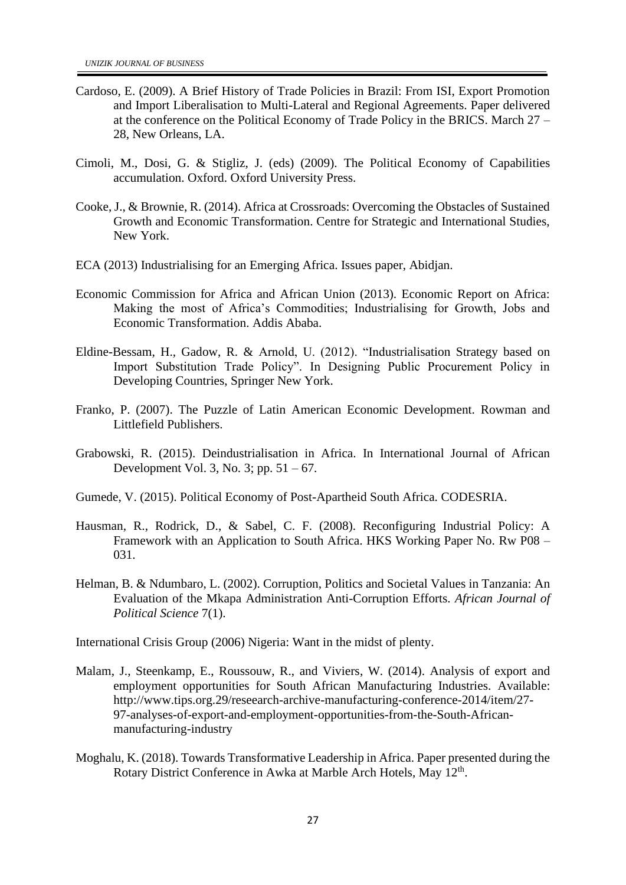- Cardoso, E. (2009). A Brief History of Trade Policies in Brazil: From ISI, Export Promotion and Import Liberalisation to Multi-Lateral and Regional Agreements. Paper delivered at the conference on the Political Economy of Trade Policy in the BRICS. March 27 – 28, New Orleans, LA.
- Cimoli, M., Dosi, G. & Stigliz, J. (eds) (2009). The Political Economy of Capabilities accumulation. Oxford. Oxford University Press.
- Cooke, J., & Brownie, R. (2014). Africa at Crossroads: Overcoming the Obstacles of Sustained Growth and Economic Transformation. Centre for Strategic and International Studies, New York.
- ECA (2013) Industrialising for an Emerging Africa. Issues paper, Abidjan.
- Economic Commission for Africa and African Union (2013). Economic Report on Africa: Making the most of Africa's Commodities; Industrialising for Growth, Jobs and Economic Transformation. Addis Ababa.
- Eldine-Bessam, H., Gadow, R. & Arnold, U. (2012). "Industrialisation Strategy based on Import Substitution Trade Policy". In Designing Public Procurement Policy in Developing Countries, Springer New York.
- Franko, P. (2007). The Puzzle of Latin American Economic Development. Rowman and Littlefield Publishers.
- Grabowski, R. (2015). Deindustrialisation in Africa. In International Journal of African Development Vol. 3, No. 3; pp. 51 – 67.
- Gumede, V. (2015). Political Economy of Post-Apartheid South Africa. CODESRIA.
- Hausman, R., Rodrick, D., & Sabel, C. F. (2008). Reconfiguring Industrial Policy: A Framework with an Application to South Africa. HKS Working Paper No. Rw P08 – 031.
- Helman, B. & Ndumbaro, L. (2002). Corruption, Politics and Societal Values in Tanzania: An Evaluation of the Mkapa Administration Anti-Corruption Efforts. *African Journal of Political Science* 7(1).

International Crisis Group (2006) Nigeria: Want in the midst of plenty.

- Malam, J., Steenkamp, E., Roussouw, R., and Viviers, W. (2014). Analysis of export and employment opportunities for South African Manufacturing Industries. Available: http://www.tips.org.29/reseearch-archive-manufacturing-conference-2014/item/27- 97-analyses-of-export-and-employment-opportunities-from-the-South-Africanmanufacturing-industry
- Moghalu, K. (2018). Towards Transformative Leadership in Africa. Paper presented during the Rotary District Conference in Awka at Marble Arch Hotels, May 12<sup>th</sup>.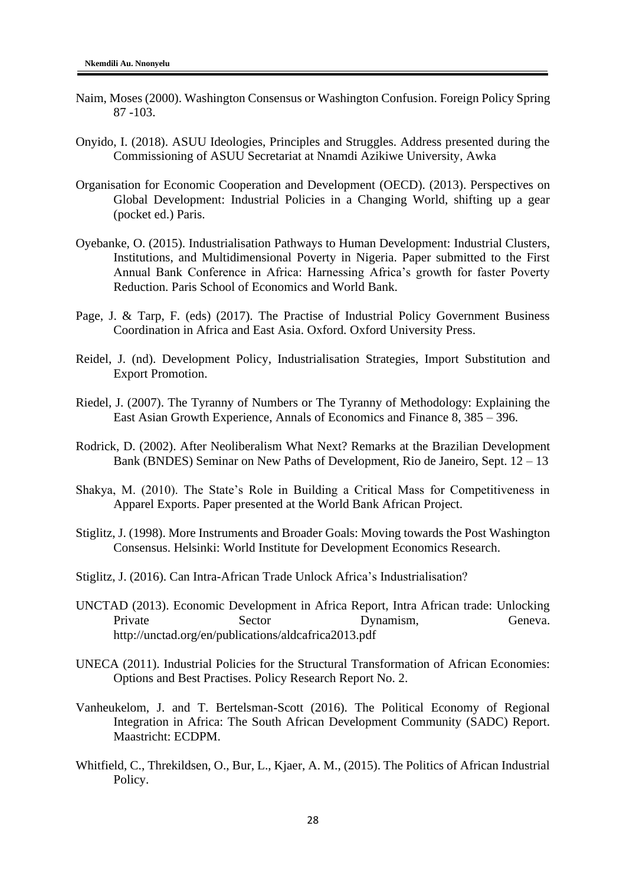- Naim, Moses (2000). Washington Consensus or Washington Confusion. Foreign Policy Spring 87 -103.
- Onyido, I. (2018). ASUU Ideologies, Principles and Struggles. Address presented during the Commissioning of ASUU Secretariat at Nnamdi Azikiwe University, Awka
- Organisation for Economic Cooperation and Development (OECD). (2013). Perspectives on Global Development: Industrial Policies in a Changing World, shifting up a gear (pocket ed.) Paris.
- Oyebanke, O. (2015). Industrialisation Pathways to Human Development: Industrial Clusters, Institutions, and Multidimensional Poverty in Nigeria. Paper submitted to the First Annual Bank Conference in Africa: Harnessing Africa's growth for faster Poverty Reduction. Paris School of Economics and World Bank.
- Page, J. & Tarp, F. (eds) (2017). The Practise of Industrial Policy Government Business Coordination in Africa and East Asia. Oxford. Oxford University Press.
- Reidel, J. (nd). Development Policy, Industrialisation Strategies, Import Substitution and Export Promotion.
- Riedel, J. (2007). The Tyranny of Numbers or The Tyranny of Methodology: Explaining the East Asian Growth Experience, Annals of Economics and Finance 8, 385 – 396.
- Rodrick, D. (2002). After Neoliberalism What Next? Remarks at the Brazilian Development Bank (BNDES) Seminar on New Paths of Development, Rio de Janeiro, Sept. 12 – 13
- Shakya, M. (2010). The State's Role in Building a Critical Mass for Competitiveness in Apparel Exports. Paper presented at the World Bank African Project.
- Stiglitz, J. (1998). More Instruments and Broader Goals: Moving towards the Post Washington Consensus. Helsinki: World Institute for Development Economics Research.
- Stiglitz, J. (2016). Can Intra-African Trade Unlock Africa's Industrialisation?
- UNCTAD (2013). Economic Development in Africa Report, Intra African trade: Unlocking Private Sector Dynamism, Geneva. http://unctad.org/en/publications/aldcafrica2013.pdf
- UNECA (2011). Industrial Policies for the Structural Transformation of African Economies: Options and Best Practises. Policy Research Report No. 2.
- Vanheukelom, J. and T. Bertelsman-Scott (2016). The Political Economy of Regional Integration in Africa: The South African Development Community (SADC) Report. Maastricht: ECDPM.
- Whitfield, C., Threkildsen, O., Bur, L., Kjaer, A. M., (2015). The Politics of African Industrial Policy.